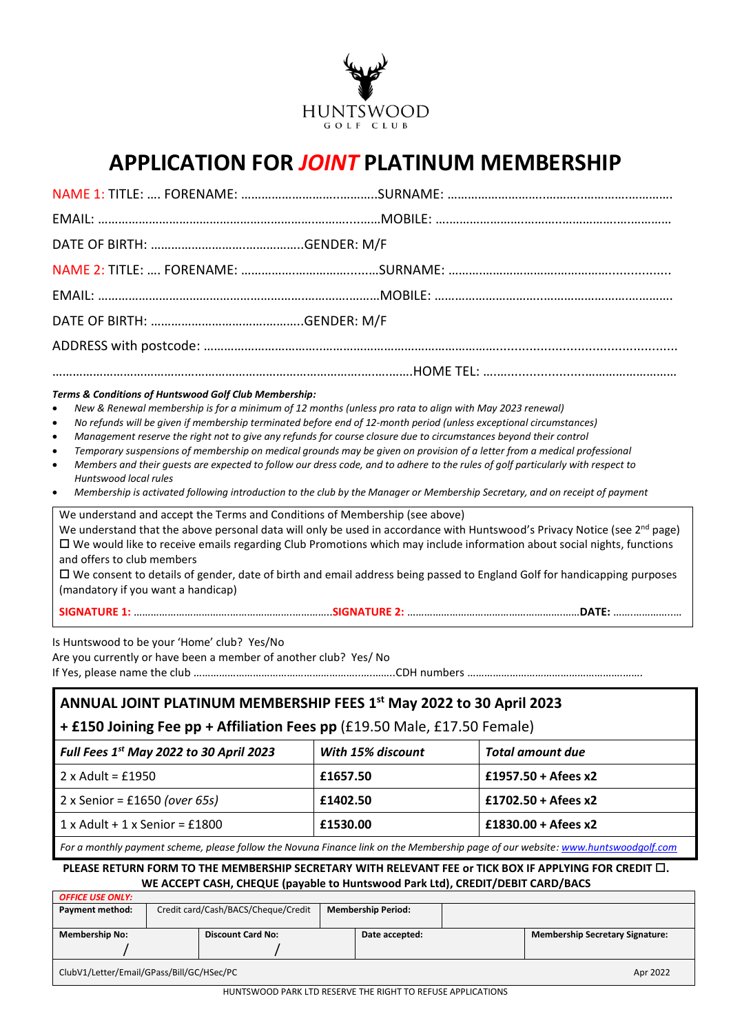

# **APPLICATION FOR** *JOINT* **PLATINUM MEMBERSHIP**

| Terms & Conditions of Huntswood Golf Club Membership:<br>$\bullet$<br>$\bullet$<br>$\bullet$<br>$\bullet$<br>$\bullet$<br>Huntswood local rules<br>$\bullet$ | New & Renewal membership is for a minimum of 12 months (unless pro rata to align with May 2023 renewal)<br>No refunds will be given if membership terminated before end of 12-month period (unless exceptional circumstances)<br>Management reserve the right not to give any refunds for course closure due to circumstances beyond their control<br>Temporary suspensions of membership on medical grounds may be given on provision of a letter from a medical professional<br>Members and their guests are expected to follow our dress code, and to adhere to the rules of golf particularly with respect to<br>Membership is activated following introduction to the club by the Manager or Membership Secretary, and on receipt of payment |
|--------------------------------------------------------------------------------------------------------------------------------------------------------------|---------------------------------------------------------------------------------------------------------------------------------------------------------------------------------------------------------------------------------------------------------------------------------------------------------------------------------------------------------------------------------------------------------------------------------------------------------------------------------------------------------------------------------------------------------------------------------------------------------------------------------------------------------------------------------------------------------------------------------------------------|
| and offers to club members<br>(mandatory if you want a handicap)                                                                                             | We understand and accept the Terms and Conditions of Membership (see above)<br>We understand that the above personal data will only be used in accordance with Huntswood's Privacy Notice (see 2 <sup>nd</sup> page)<br>$\Box$ We would like to receive emails regarding Club Promotions which may include information about social nights, functions<br>$\Box$ We consent to details of gender, date of birth and email address being passed to England Golf for handicapping purposes                                                                                                                                                                                                                                                           |
|                                                                                                                                                              |                                                                                                                                                                                                                                                                                                                                                                                                                                                                                                                                                                                                                                                                                                                                                   |
| Is Huntswood to be your 'Home' club? Yes/No                                                                                                                  |                                                                                                                                                                                                                                                                                                                                                                                                                                                                                                                                                                                                                                                                                                                                                   |

Are you currently or have been a member of another club? Yes/ No

If Yes, please name the club …………………………………………………..….……..CDH numbers ……………………………………………….…….

## **ANNUAL JOINT PLATINUM MEMBERSHIP FEES 1 st May 2022 to 30 April 2023**

**+ £150 Joining Fee pp + Affiliation Fees pp** (£19.50 Male, £17.50 Female)

| Full Fees $1st$ May 2022 to 30 April 2023 | With 15% discount | Total amount due      |
|-------------------------------------------|-------------------|-----------------------|
| $2 \times$ Adult = £1950                  | £1657.50          | £1957.50 + Afees $x2$ |
| 2 x Senior = £1650 (over 65s)             | £1402.50          | $£1702.50 + Afees x2$ |
| $1x$ Adult + 1 x Senior = £1800           | £1530.00          | $£1830.00 + Afees x2$ |

*For a monthly payment scheme, please follow the Novuna Finance link on the Membership page of our website: [www.huntswoodgolf.com](http://www.huntswoodgolf.com/)*

**PLEASE RETURN FORM TO THE MEMBERSHIP SECRETARY WITH RELEVANT FEE or TICK BOX IF APPLYING FOR CREDIT . WE ACCEPT CASH, CHEQUE (payable to Huntswood Park Ltd), CREDIT/DEBIT CARD/BACS**

| <b>OFFICE USE ONLY:</b>                               |                                     |                          |                           |  |  |                                        |
|-------------------------------------------------------|-------------------------------------|--------------------------|---------------------------|--|--|----------------------------------------|
| Payment method:                                       | Credit card/Cash/BACS/Cheque/Credit |                          | <b>Membership Period:</b> |  |  |                                        |
|                                                       |                                     |                          |                           |  |  |                                        |
| <b>Membership No:</b>                                 |                                     | <b>Discount Card No:</b> | Date accepted:            |  |  | <b>Membership Secretary Signature:</b> |
|                                                       |                                     |                          |                           |  |  |                                        |
| ClubV1/Letter/Email/GPass/Bill/GC/HSec/PC<br>Apr 2022 |                                     |                          |                           |  |  |                                        |